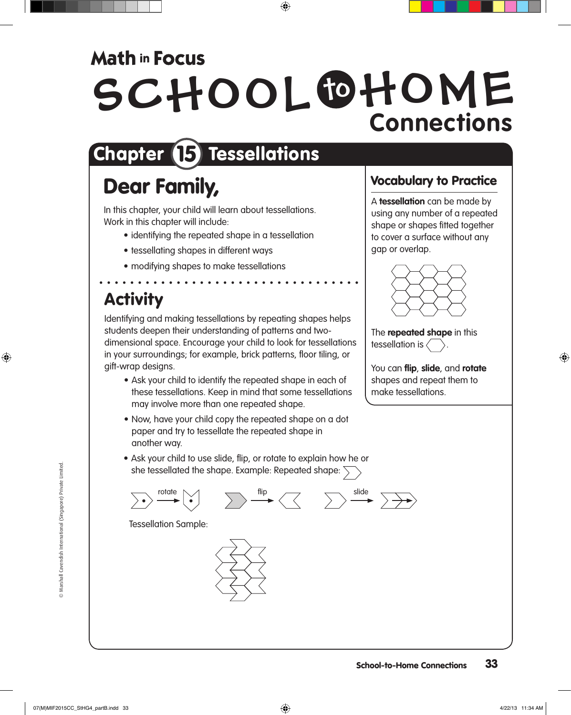## **Math in Focus**

# SCHOOL OHOME **Connections**

# Chapter **15** Tessellations

# Dear Family,

In this chapter, your child will learn about tessellations. Work in this chapter will include:

- identifying the repeated shape in a tessellation
- tessellating shapes in different ways
- modifying shapes to make tessellations

# Activity

Identifying and making tessellations by repeating shapes helps students deepen their understanding of patterns and twodimensional space. Encourage your child to look for tessellations in your surroundings; for example, brick patterns, floor tiling, or gift-wrap designs.

- Ask your child to identify the repeated shape in each of these tessellations. Keep in mind that some tessellations may involve more than one repeated shape.
- Now, have your child copy the repeated shape on a dot paper and try to tessellate the repeated shape in another way.
- Ask your child to use slide, flip, or rotate to explain how he or she tessellated the shape. Example: Repeated shape:  $\overline{\searrow}$

$$
\sum \bullet \quad \xrightarrow{\text{rotate}} \quad \searrow \quad \qquad \sum \quad \xrightarrow{\text{flip}} \quad \swarrow \quad \qquad \sum \quad \xrightarrow{\text{slide}} \quad \searrow \Rightarrow
$$

Tessellation Sample:



#### Vocabulary to Practice

A **tessellation** can be made by using any number of a repeated shape or shapes fitted together to cover a surface without any gap or overlap.



The **repeated shape** in this tessellation is  $\langle$ 

You can **flip**, **slide**, and **rotate** shapes and repeat them to make tessellations.